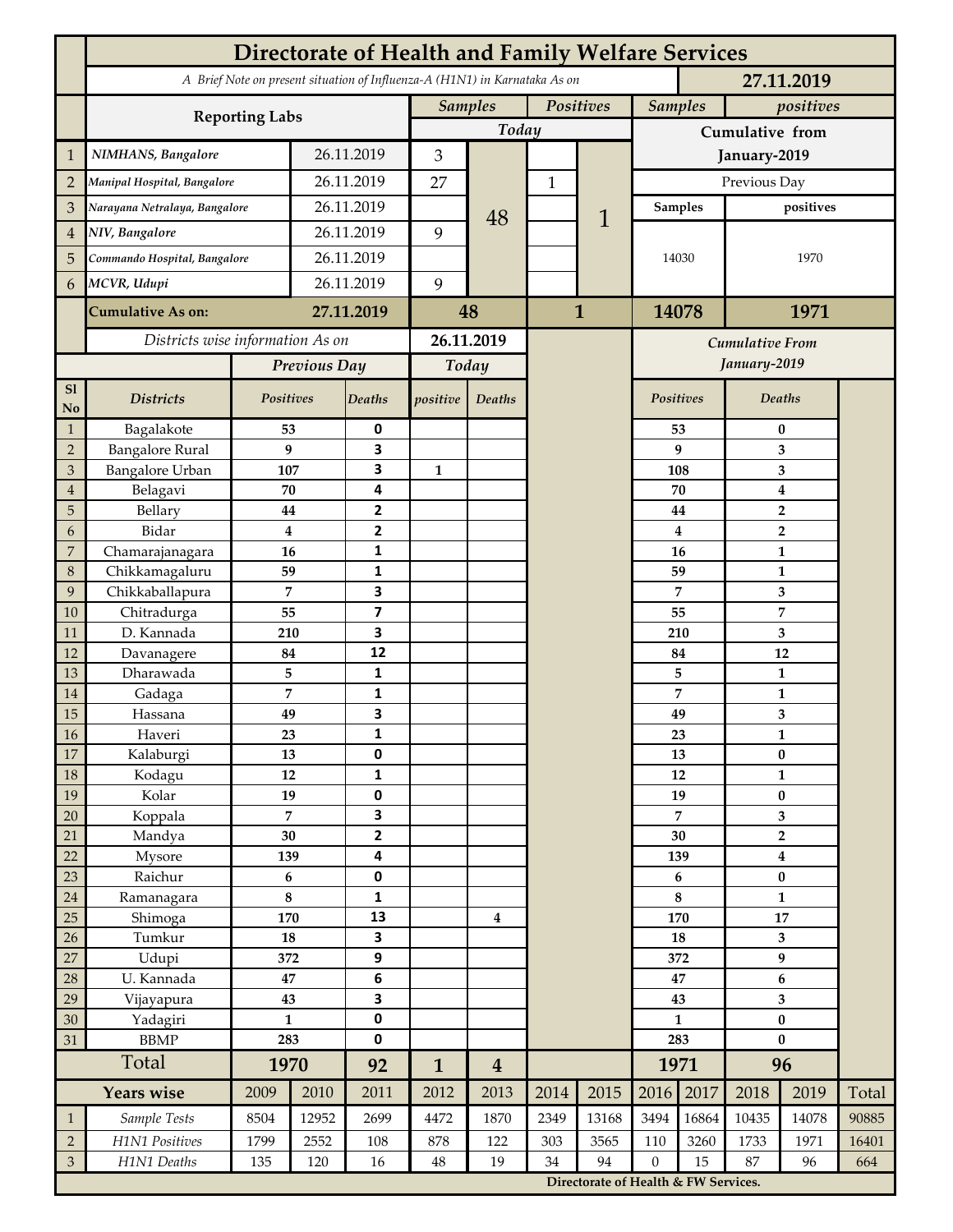|                 | <b>Directorate of Health and Family Welfare Services</b>                                 |                  |            |                         |                |                  |              |                                      |                         |                |                         |                                  |       |  |
|-----------------|------------------------------------------------------------------------------------------|------------------|------------|-------------------------|----------------|------------------|--------------|--------------------------------------|-------------------------|----------------|-------------------------|----------------------------------|-------|--|
|                 | A Brief Note on present situation of Influenza-A (H1N1) in Karnataka As on<br>27.11.2019 |                  |            |                         |                |                  |              |                                      |                         |                |                         |                                  |       |  |
|                 | <b>Reporting Labs</b>                                                                    |                  |            |                         | <b>Samples</b> |                  | Positives    |                                      |                         | <b>Samples</b> |                         | positives                        |       |  |
|                 |                                                                                          |                  |            |                         | Today          |                  |              |                                      | Cumulative from         |                |                         |                                  |       |  |
| $\mathbf{1}$    | NIMHANS, Bangalore                                                                       | 26.11.2019       |            | 3                       |                |                  |              | January-2019                         |                         |                |                         |                                  |       |  |
| $\overline{2}$  | Manipal Hospital, Bangalore                                                              |                  |            | 26.11.2019              |                |                  | 1            |                                      | Previous Day            |                |                         |                                  |       |  |
| 3               | Narayana Netralaya, Bangalore                                                            |                  |            | 26.11.2019              |                |                  |              | 1                                    | Samples                 |                | positives               |                                  |       |  |
| $\overline{4}$  | NIV, Bangalore                                                                           |                  |            | 26.11.2019              |                | 48               |              |                                      |                         |                |                         |                                  |       |  |
| 5               | Commando Hospital, Bangalore                                                             |                  | 26.11.2019 |                         |                |                  |              |                                      | 14030                   |                | 1970                    |                                  |       |  |
| 6               | MCVR, Udupi                                                                              |                  | 26.11.2019 |                         | 9              |                  |              |                                      |                         |                |                         |                                  |       |  |
|                 | <b>Cumulative As on:</b>                                                                 |                  |            | 27.11.2019              |                |                  | $\mathbf{1}$ |                                      | 14078                   |                | 1971                    |                                  |       |  |
|                 |                                                                                          |                  |            | 48                      |                |                  |              |                                      |                         |                |                         |                                  |       |  |
|                 | Districts wise information As on                                                         |                  |            | 26.11.2019              |                |                  |              | <b>Cumulative From</b>               |                         |                |                         |                                  |       |  |
|                 |                                                                                          | Previous Day     |            | Today                   |                |                  |              |                                      |                         | January-2019   |                         |                                  |       |  |
| S1<br>No        | <b>Districts</b>                                                                         | Positives        |            | Deaths                  | positive       | Deaths           |              |                                      | Positives               |                |                         | Deaths                           |       |  |
| $\mathbf{1}$    | Bagalakote                                                                               | 53               |            | 0                       |                |                  |              |                                      |                         | 53             |                         | $\bf{0}$                         |       |  |
| $\overline{2}$  | <b>Bangalore Rural</b>                                                                   | 9                |            | 3                       |                |                  |              |                                      |                         | 9              | 3                       |                                  |       |  |
| 3               | Bangalore Urban                                                                          | 107              |            | 3                       | $\mathbf{1}$   |                  |              |                                      | 108                     |                | 3                       |                                  |       |  |
| $\overline{4}$  | Belagavi                                                                                 | 70               |            | 4                       |                |                  |              |                                      |                         | 70             |                         | $\boldsymbol{4}$                 |       |  |
| 5<br>6          | Bellary<br>Bidar                                                                         | 44<br>$\bf{4}$   |            | 2<br>$\mathbf{2}$       |                |                  |              |                                      |                         | 44<br>4        |                         | $\overline{2}$<br>$\overline{2}$ |       |  |
| 7               | Chamarajanagara                                                                          | 16               |            | 1                       |                |                  |              |                                      |                         | 16             |                         | 1                                |       |  |
| 8               | Chikkamagaluru                                                                           | 59               |            | 1                       |                |                  |              |                                      |                         | 59             |                         | 1                                |       |  |
| 9               | Chikkaballapura                                                                          | 7                |            | 3                       |                |                  |              |                                      |                         | 7              |                         | 3                                |       |  |
| 10              | Chitradurga                                                                              | 55               |            | $\overline{\mathbf{z}}$ |                |                  |              |                                      |                         | 55             |                         | 7                                |       |  |
| 11              | D. Kannada                                                                               | 210              |            | 3                       |                |                  |              |                                      |                         | 210            |                         | 3                                |       |  |
| 12              | Davanagere                                                                               | 84               |            | 12                      |                |                  |              |                                      |                         | 84             |                         | 12                               |       |  |
| 13              | Dharawada                                                                                | 5                |            | $\mathbf{1}$            |                |                  |              |                                      |                         | 5              |                         | $\mathbf{1}$                     |       |  |
| 14              | Gadaga                                                                                   | 7                |            | 1<br>3                  |                |                  |              |                                      |                         | 7              |                         | 1                                |       |  |
| 15<br><b>16</b> | Hassana<br>Haveri                                                                        | 49<br>23         |            | 1                       |                |                  |              |                                      |                         | 49<br>23       |                         | 3<br>1                           |       |  |
| 17              | Kalaburgi                                                                                | 13               |            | 0                       |                |                  |              |                                      |                         | 13             | $\pmb{0}$               |                                  |       |  |
| 18              | Kodagu                                                                                   | 12               |            | $\mathbf{1}$            |                |                  |              |                                      |                         | 12             | $\mathbf{1}$            |                                  |       |  |
| 19              | Kolar                                                                                    | 19               |            | 0                       |                |                  |              |                                      |                         | 19             |                         | $\pmb{0}$                        |       |  |
| 20              | Koppala                                                                                  | $\overline{7}$   |            | 3                       |                |                  |              |                                      | 7                       |                | 3                       |                                  |       |  |
| 21              | Mandya                                                                                   | $30\,$           |            | $\mathbf{2}$            |                |                  |              |                                      | 30                      |                | $\mathbf 2$             |                                  |       |  |
| 22              | Mysore                                                                                   | 139              |            | 4                       |                |                  |              |                                      |                         | 139            |                         | $\boldsymbol{4}$                 |       |  |
| 23              | Raichur                                                                                  | $\bf 6$<br>8     |            | $\pmb{0}$               |                |                  |              |                                      |                         | 6<br>8         |                         | $\pmb{0}$                        |       |  |
| $24\,$<br>25    | Ramanagara<br>Shimoga                                                                    | 170              |            | 1<br>13                 |                | 4                |              |                                      |                         | 170            |                         | $\mathbf{1}$<br>17               |       |  |
| 26              | Tumkur                                                                                   | ${\bf 18}$       |            | 3                       |                |                  |              |                                      | 18                      |                | 3                       |                                  |       |  |
| 27              | Udupi                                                                                    | 372              |            | 9                       |                |                  |              |                                      |                         | 372            | 9                       |                                  |       |  |
| 28              | U. Kannada                                                                               | $\bf 47$         |            | $\bf 6$                 |                |                  |              |                                      | 47                      |                | $\bf 6$                 |                                  |       |  |
| 29              | Vijayapura                                                                               | 43               |            | 3                       |                |                  |              |                                      | 43                      |                | $\overline{\mathbf{3}}$ |                                  |       |  |
| 30              | Yadagiri                                                                                 | $\mathbf{1}$     |            | 0                       |                |                  |              |                                      | $\mathbf{1}$            |                | $\pmb{0}$               |                                  |       |  |
| 31              | <b>BBMP</b>                                                                              | 283              |            | 0                       |                |                  |              |                                      | 283                     |                | $\bf{0}$                |                                  |       |  |
|                 | Total                                                                                    | 1970             |            | 92                      | $\mathbf{1}$   | $\boldsymbol{4}$ |              |                                      |                         | 1971           | 96                      |                                  |       |  |
|                 | <b>Years wise</b>                                                                        | 2009             | 2010       | 2011                    | 2012           | 2013             | 2014         | 2015                                 | 2016                    | 2017           | 2018                    | 2019                             | Total |  |
| $\mathbf{1}$    | Sample Tests                                                                             | 8504             | 12952      | 2699                    | 4472           | 1870             | 2349         | 13168                                | 3494                    | 16864          | 10435                   | 14078                            | 90885 |  |
| $\overline{2}$  | H1N1 Positives                                                                           | 1799             | 2552       | 108                     | 878            | 122              | 303          | 3565                                 | 110<br>$\boldsymbol{0}$ | 3260           | 1733                    | 1971                             | 16401 |  |
| $\mathfrak{Z}$  | H1N1 Deaths                                                                              | 135<br>120<br>16 |            | $48\,$                  | 19             | 34               | 94           |                                      | 15                      | 87<br>96       |                         | 664                              |       |  |
|                 |                                                                                          |                  |            |                         |                |                  |              | Directorate of Health & FW Services. |                         |                |                         |                                  |       |  |